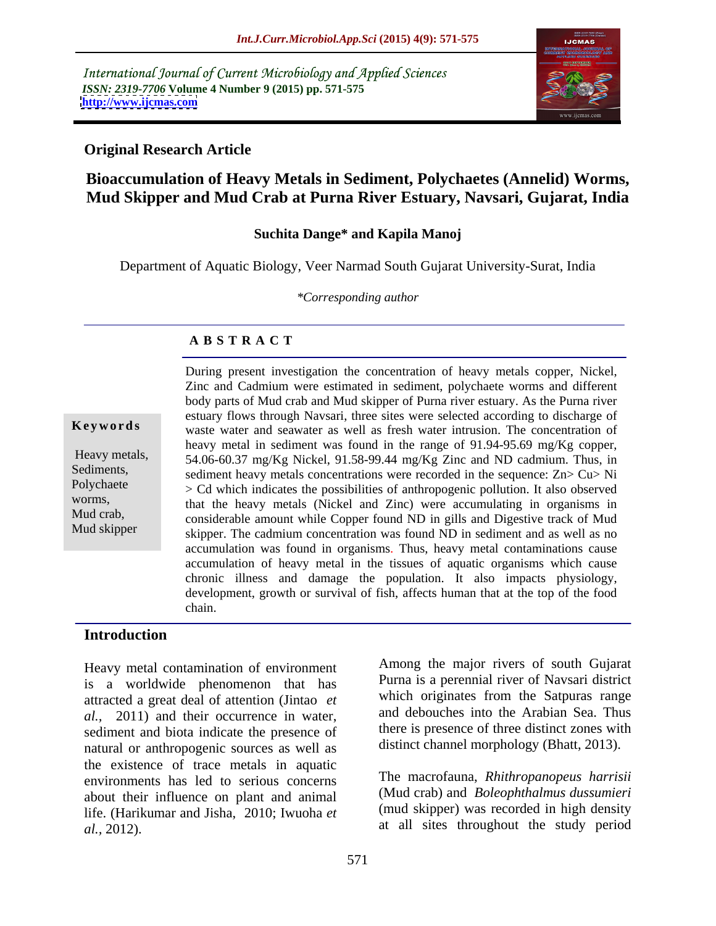International Journal of Current Microbiology and Applied Sciences *ISSN: 2319-7706* **Volume 4 Number 9 (2015) pp. 571-575 <http://www.ijcmas.com>**



## **Original Research Article**

# **Bioaccumulation of Heavy Metals in Sediment, Polychaetes (Annelid) Worms, Mud Skipper and Mud Crab at Purna River Estuary, Navsari, Gujarat, India**

### **Suchita Dange\* and Kapila Manoj**

Department of Aquatic Biology, Veer Narmad South Gujarat University-Surat, India

*\*Corresponding author*

## **A B S T R A C T**

Mud skipper

During present investigation the concentration of heavy metals copper, Nickel, Zinc and Cadmium were estimated in sediment, polychaete worms and different body parts of Mud crab and Mud skipper of Purna river estuary. As the Purna river estuary flows through Navsari, three sites wereselected according to discharge of waste water and seawater as well as fresh water intrusion. The concentration of **Ke ywo rds** heavy metal in sediment was found in the range of 91.94-95.69 mg/Kg copper, Heavy metals, 54.06-60.37 mg/Kg Nickel, 91.58-99.44 mg/Kg Zinc and ND cadmium. Thus, in Sediments, sediment heavy metals concentrations were recorded in the sequence:  $Zn > Cu > Ni$ Polychaete > Cd which indicates the possibilities of anthropogenic pollution. It also observed worms,<br>
that the heavy metals (Nickel and Zinc) were accumulating in organisms in Mud crab,<br>
considerable amount while Copper found ND in gills and Digestive track of Mud skipper. The cadmium concentration was found ND in sediment and as well as no accumulation was found in organisms. Thus, heavy metal contaminations cause accumulation of heavy metal in the tissues of aquatic organisms which cause chronic illness and damage the population. It also impacts physiology, development, growth or survival of fish, affects human that at the top of the food chain.

## **Introduction**

Heavy metal contamination of environment is a worldwide phenomenon that has attracted a great deal of attention (Jintao *et al.,* 2011) and their occurrence in water, sediment and biota indicate the presence of natural or anthropogenic sources as well as the existence of trace metals in aquatic environments has led to serious concerns about their influence on plant and animal life. (Harikumar and Jisha, 2010; Iwuoha *et al.,* 2012). at all sites throughout the study period

Among the major rivers of south Gujarat Purna is a perennial river of Navsari district which originates from the Satpuras range and debouches into the Arabian Sea. Thus there is presence of three distinct zones with distinct channel morphology (Bhatt, 2013).

The macrofauna, *Rhithropanopeus harrisii* (Mud crab) and *Boleophthalmus dussumieri* (mud skipper) was recorded in high density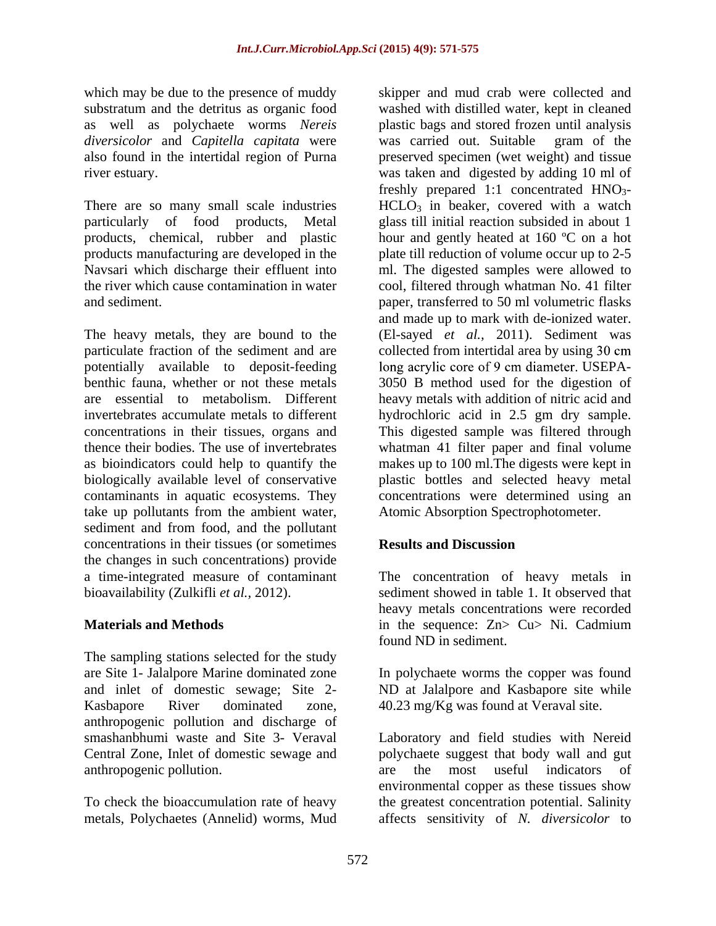which may be due to the presence of muddy *diversicolor* and *Capitella capitata* were

products, chemical, rubber and plastic

potentially available to deposit-feeding long acrylic core of 9 cm diameter. USEPAtake up pollutants from the ambient water, sediment and from food, and the pollutant concentrations in their tissues (or sometimes the changes in such concentrations) provide a time-integrated measure of contaminant The concentration of heavy metals in

The sampling stations selected for the study are Site 1- Jalalpore Marine dominated zone In polychaete worms the copper was found and inlet of domestic sewage; Site 2- Kasbapore River dominated zone, 40.23 mg/Kg was found at Veraval site. anthropogenic pollution and discharge of anthropogenic pollution. The area the most useful indicators of

metals, Polychaetes (Annelid) worms, Mud affects sensitivity of *N. diversicolor* to

substratum and the detritus as organic food washed with distilled water, kept in cleaned as well as polychaete worms *Nereis*  plastic bags and stored frozen until analysis also found in the intertidal region of Purna preserved specimen (wet weight) and tissue river estuary. was taken and digested by adding 10 ml of There are so many small scale industries  $HCLO<sub>3</sub>$  in beaker, covered with a watch particularly of food products, Metal glass till initial reaction subsided in about 1 products manufacturing are developed in the plate till reduction of volume occur up to 2-5 Navsari which discharge their effluent into ml. The digested samples were allowed to the river which cause contamination in water cool, filtered through whatman No. 41 filter and sediment. paper, transferred to 50 ml volumetric flasks The heavy metals, they are bound to the (El-sayed *et al.,* 2011). Sediment was particulate fraction of the sediment and are collected from intertidal area by using 30 cm benthic fauna, whether or not these metals 3050 B method used for the digestion of are essential to metabolism. Different heavy metalswith addition of nitric acid and invertebrates accumulate metals to different hydrochloric acid in 2.5 gm dry sample. concentrations in their tissues, organs and This digested sample was filtered through thence their bodies. The use of invertebrates whatman 41 filter paper and final volume as bioindicators could help to quantify the makes up to 100 ml.The digests were kept in biologically available level of conservative plastic bottles and selected heavy metal contaminants in aquatic ecosystems. They concentrations were determined using an skipper and mud crab were collected and was carried out. Suitable gram of the freshly prepared 1:1 concentrated  $HNO<sub>3</sub>$ hour and gently heated at 160 ºC on a hot and made up to mark with de-ionized water. USEPA- Atomic Absorption Spectrophotometer.

# **Results and Discussion**

bioavailability (Zulkifli *et al.,* 2012). sediment showed in table 1. It observed that **Materials and Methods Statemart Equation** in the sequence: Zn> Cu> Ni. Cadmium heavy metals concentrations were recorded in the sequence: Zn> Cu> Ni. Cadmium found ND in sediment.

ND at Jalalpore and Kasbapore site while

smashanbhumi waste and Site 3- Veraval Laboratory and field studies with Nereid Central Zone, Inlet of domestic sewage and polychaete suggest that body wall and gut To check the bioaccumulation rate of heavy the greatest concentration potential. Salinity are the most useful indicators of environmental copper as these tissues show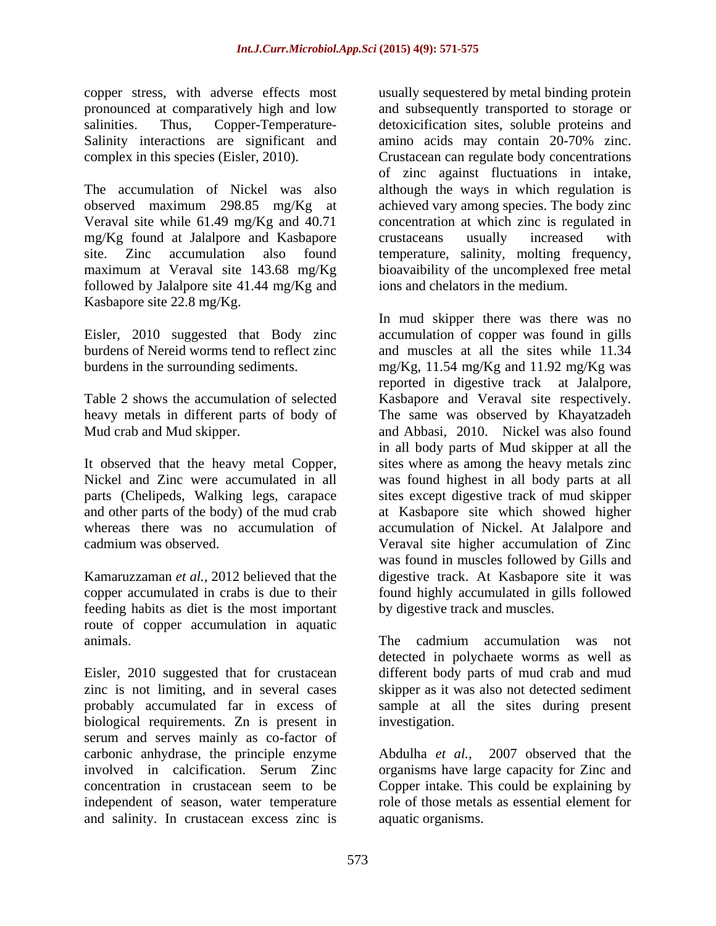copper stress, with adverse effects most Salinity interactions are significant and amino acids may contain 20-70% zinc.

mg/Kg found at Jalalpore and Kasbapore crustaceans usually increased with followed by Jalalpore site 41.44 mg/Kg and Kasbapore site 22.8 mg/Kg.

feeding habits as diet is the most important route of copper accumulation in aquatic animals. The cadmium accumulation was not

Eisler, 2010 suggested that for crustacean different body parts of mud crab and mud zinc is not limiting, and in several cases skipper as it was also not detected sediment probably accumulated far in excess of sample at all the sites during present biological requirements. Zn is present in serum and serves mainly as co-factor of carbonic anhydrase, the principle enzyme Abdulha et al., 2007 observed that the involved in calcification. Serum Zinc organisms have large capacity for Zinc and concentration in crustacean seem to be independent of season, water temperature role of those metals as essential element for and salinity. In crustacean excess zinc is

pronounced at comparatively high and low and subsequently transported to storage or salinities. Thus, Copper-Temperature- detoxicification sites, soluble proteins and complex in this species (Eisler, 2010). Crustacean can regulate body concentrations The accumulation of Nickel was also although the ways in which regulation is observed maximum 298.85 mg/Kg at achieved vary among species. The body zinc Veraval site while 61.49 mg/Kg and 40.71 concentration at which zinc is regulated in site. Zinc accumulation also found temperature, salinity, molting frequency, maximum at Veraval site 143.68 mg/Kg bioavaibility of the uncomplexed free metal usually sequestered by metal binding protein amino acids may contain 20-70% zinc. of zinc against fluctuations in intake, crustaceans usually increased with ions and chelators in the medium.

Eisler, 2010 suggested that Body zinc accumulation of copper was found in gills burdens of Nereid worms tend to reflect zinc and muscles at all the sites while 11.34 burdens in the surrounding sediments. mg/Kg, 11.54 mg/Kg and 11.92 mg/Kg was Table 2 shows the accumulation of selected Kasbapore and Veraval site respectively. heavy metals in different parts of body of The same was observed by Khayatzadeh Mud crab and Mud skipper. and Abbasi, 2010. Nickel was also found It observed that the heavy metal Copper, sites where as among the heavy metals zinc Nickel and Zinc were accumulated in all was found highest in all body parts at all parts (Chelipeds, Walking legs, carapace sites except digestive track of mud skipper and other parts of the body) of the mud crab at Kasbapore site which showed higher whereas there was no accumulation of accumulation of Nickel. At Jalalpore and cadmium was observed. Veraval site higher accumulation of Zinc Kamaruzzaman *et al.,* 2012 believed that the digestive track. At Kasbapore site it was copper accumulated in crabs is due to their found highly accumulated in gills followed In mud skipper there was there was no reported in digestive track at Jalalpore, in all body parts of Mud skipper at all the was found in muscles followed by Gills and by digestive track and muscles.

> The cadmium accumulation was not detected in polychaete worms as well as investigation.

Abdulha *et al.,* 2007 observed that the Copper intake. This could be explaining by aquatic organisms.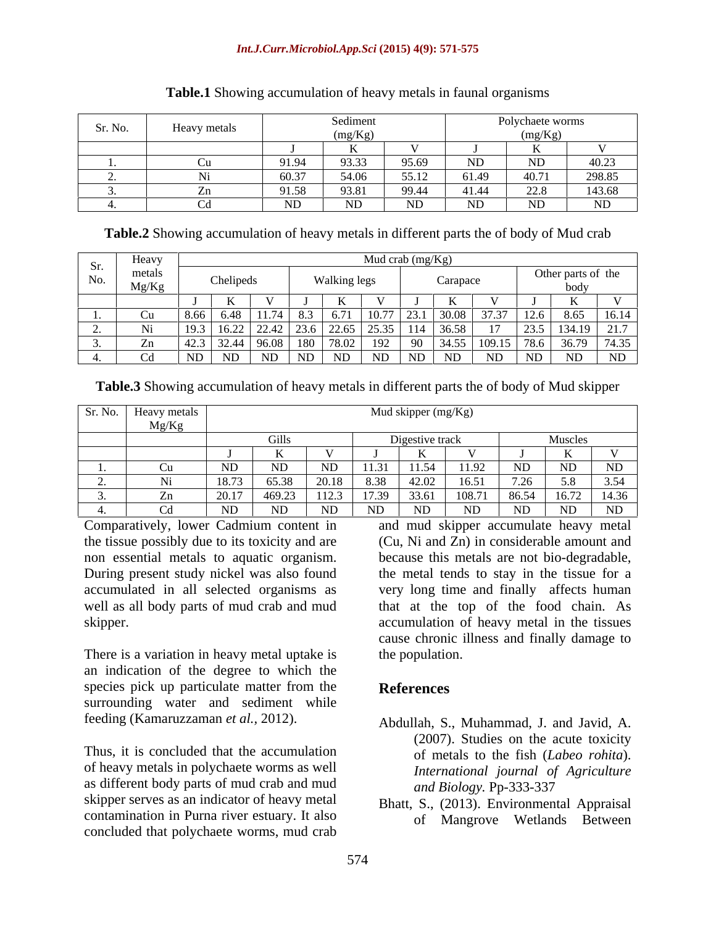### *Int.J.Curr.Microbiol.App.Sci* **(2015) 4(9): 571-575**

| Sr. No. |                                                                                                 |       | $\mathbf{v}$ and in an a<br><b>Deanne</b> |       |       | Polychaete worms            |                |
|---------|-------------------------------------------------------------------------------------------------|-------|-------------------------------------------|-------|-------|-----------------------------|----------------|
|         | Heavy metals<br>the contract of the contract of the contract of the contract of the contract of |       | ng/Kg).<br>$\sim$ 0 $\sim$                |       |       | $\sim$ $\sim$ $\sim$ $\sim$ |                |
|         |                                                                                                 |       |                                           |       |       |                             |                |
|         | ∪u                                                                                              | 91.94 | 93.33                                     | 95.69 | ND    | ND                          | 40.22<br>40.ZJ |
|         |                                                                                                 | 60.37 | 54.06                                     | 55.12 | 61.49 | 40.71                       | 298.85         |
|         | $\Box$                                                                                          | 91.58 | 93.81                                     | 99.44 | 41.44 | 22.8                        | 143.68         |
|         | $\sim$ 1                                                                                        |       | ND.                                       | ND.   | ND.   | ND.                         | ND             |

### **Table.1** Showing accumulation of heavy metals in faunal organisms

**Table.2** Showing accumulation of heavy metals in different parts the of body of Mud crab

|                                    | Heavy           |                 |                        |              | Mud crab $(mg/Kg)$                                  |          |  |                            |                 |
|------------------------------------|-----------------|-----------------|------------------------|--------------|-----------------------------------------------------|----------|--|----------------------------|-----------------|
| Sr.<br>$\sim$ $\sim$ $\sim$<br>No. | metals<br>Mg/Kg | Chelipeds       |                        | Walking legs |                                                     | Carapace |  | Other parts of the<br>noav |                 |
|                                    |                 |                 |                        |              |                                                     |          |  |                            |                 |
| $\equiv$ $\equiv$                  |                 |                 | $\times$ $\sim$        |              |                                                     | 30 O.S   |  |                            | $\overline{16}$ |
| the control of the control of the  |                 | $\mathbf{0.44}$ | - ∠∠. <del>. +</del> ∠ | 44.0.        | .35 1 1 1 4<br>$\sqrt{2}$ , $\sqrt{2}$ , $\sqrt{2}$ | 136.58   |  | 23.5   134.19   21.7       |                 |
|                                    |                 |                 | 180 L<br>. YA 11X      |              |                                                     |          |  |                            |                 |
|                                    |                 |                 | ND.                    |              | - NI                                                |          |  |                            |                 |

**Table.3** Showing accumulation of heavy metals in different parts the of body of Mud skipper

|                                              | Sr. No.   Heavy metals            |  |       | Mud skipper $(mg/Kg)$ |     |     |           |            |
|----------------------------------------------|-----------------------------------|--|-------|-----------------------|-----|-----|-----------|------------|
|                                              | Mg/Kg<br>$\overline{\phantom{a}}$ |  |       |                       |     |     |           |            |
|                                              |                                   |  |       |                       |     |     | Muscles   |            |
|                                              |                                   |  |       |                       |     |     |           |            |
|                                              | - 0.11                            |  |       | 11.54                 |     |     | <b>ND</b> | <b>NID</b> |
| <u>experience</u>                            |                                   |  | -9238 |                       |     |     |           |            |
| the control of the control of the control of |                                   |  |       |                       |     |     | 16.72     |            |
|                                              |                                   |  | ND.   |                       | ND. | IVU | ND.       | ND         |

Comparatively, lower Cadmium content in

There is a variation in heavy metal uptake is an indication of the degree to which the species pick up particulate matter from the References surrounding water and sediment while

Thus, it is concluded that the accumulation of heavy metals in polychaete worms as well as different body parts of mud crab and mud<br>skipper serves as an indicator of heavy metal<br>Rhatt S. (2013) Environment skipper serves as an indicator of heavy metal Bhatt, S., (2013). Environmental Appraisal contamination in Purna river estuary. It also concluded that polychaete worms, mud crab

the tissue possibly due to its toxicity and are (Cu, Ni and Zn) in considerable amount and non essential metals to aquatic organism. because this metals are not bio-degradable, During present study nickel was also found the metal tends to stay in the tissue for a accumulated in all selected organisms as very long time and finally affects human well as all body parts of mud crab and mud that at the top of the food chain. As skipper. The subset of the secumulation of heavy metal in the tissues secumulation of heavy metal in the tissues and mud skipper accumulate heavy metal cause chronic illness and finally damage to the population.

# **References**

- feeding (Kamaruzzaman *et al.,* 2012). Abdullah, S., Muhammad, J. and Javid, A. (2007). Studies on the acute toxicity of metals to the fish (*Labeo rohita*). *International journal of Agriculture and Biology.* Pp-333-337
	- of Mangrove Wetlands Between